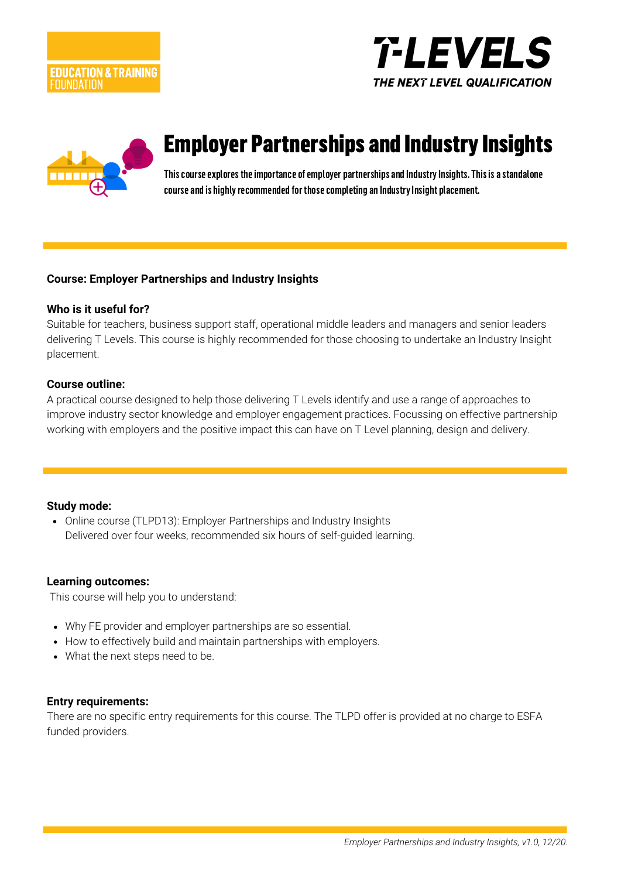





# Employer Partnerships and Industry Insights

This course explores the importance of employer partnerships and Industry Insights. This is a standalone course and is highly recommended for those completing an Industry Insight placement.

#### **Course: Employer Partnerships and Industry Insights**

#### **Who is it useful for?**

Suitable for teachers, business support staff, operational middle leaders and managers and senior leaders delivering T Levels. This course is highly recommended for those choosing to undertake an Industry Insight placement.

#### **Course outline:**

A practical course designed to help those delivering T Levels identify and use a range of approaches to improve industry sector knowledge and employer engagement practices. Focussing on effective partnership working with employers and the positive impact this can have on T Level planning, design and delivery.

#### **Study mode:**

• Online course (TLPD13): Employer Partnerships and Industry Insights Delivered over four weeks, recommended six hours of self-guided learning.

#### **Learning outcomes:**

This course will help you to understand:

- Why FE provider and employer partnerships are so essential.
- How to effectively build and maintain partnerships with employers.
- What the next steps need to be.

#### **Entry requirements:**

There are no specific entry requirements for this course. The TLPD offer is provided at no charge to ESFA funded providers.